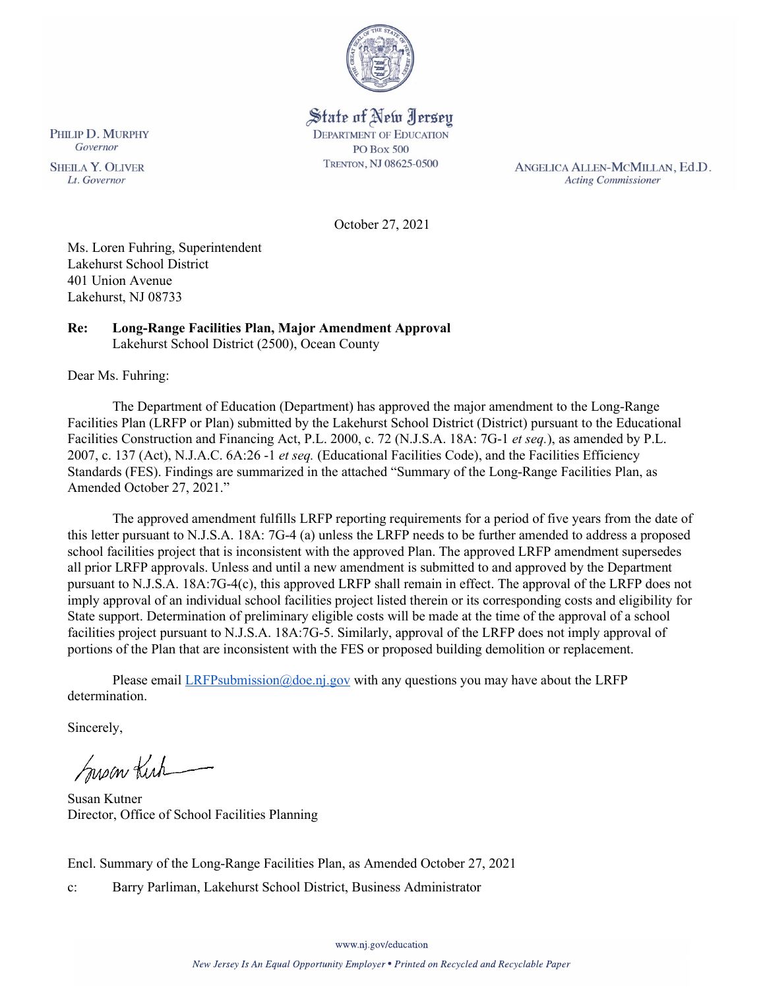

#### State of New Jersey **DEPARTMENT OF EDUCATION PO Box 500**

TRENTON, NJ 08625-0500

ANGELICA ALLEN-MCMILLAN, Ed.D. **Acting Commissioner** 

October 27, 2021

Ms. Loren Fuhring, Superintendent Lakehurst School District 401 Union Avenue Lakehurst, NJ 08733

#### **Re: Long-Range Facilities Plan, Major Amendment Approval**  Lakehurst School District (2500), Ocean County

Dear Ms. Fuhring:

The Department of Education (Department) has approved the major amendment to the Long-Range Facilities Plan (LRFP or Plan) submitted by the Lakehurst School District (District) pursuant to the Educational Facilities Construction and Financing Act, P.L. 2000, c. 72 (N.J.S.A. 18A: 7G-1 *et seq.*), as amended by P.L. 2007, c. 137 (Act), N.J.A.C. 6A:26 -1 *et seq.* (Educational Facilities Code), and the Facilities Efficiency Standards (FES). Findings are summarized in the attached "Summary of the Long-Range Facilities Plan, as Amended October 27, 2021."

The approved amendment fulfills LRFP reporting requirements for a period of five years from the date of this letter pursuant to N.J.S.A. 18A: 7G-4 (a) unless the LRFP needs to be further amended to address a proposed school facilities project that is inconsistent with the approved Plan. The approved LRFP amendment supersedes all prior LRFP approvals. Unless and until a new amendment is submitted to and approved by the Department pursuant to N.J.S.A. 18A:7G-4(c), this approved LRFP shall remain in effect. The approval of the LRFP does not imply approval of an individual school facilities project listed therein or its corresponding costs and eligibility for State support. Determination of preliminary eligible costs will be made at the time of the approval of a school facilities project pursuant to N.J.S.A. 18A:7G-5. Similarly, approval of the LRFP does not imply approval of portions of the Plan that are inconsistent with the FES or proposed building demolition or replacement.

Please email  $LRFP submission@doe.ni.gov$  with any questions you may have about the LRFP determination.

Sincerely,

Susan Kich

Susan Kutner Director, Office of School Facilities Planning

Encl. Summary of the Long-Range Facilities Plan, as Amended October 27, 2021

c: Barry Parliman, Lakehurst School District, Business Administrator

PHILIP D. MURPHY Governor

**SHEILA Y. OLIVER** Lt. Governor

www.nj.gov/education

New Jersey Is An Equal Opportunity Employer . Printed on Recycled and Recyclable Paper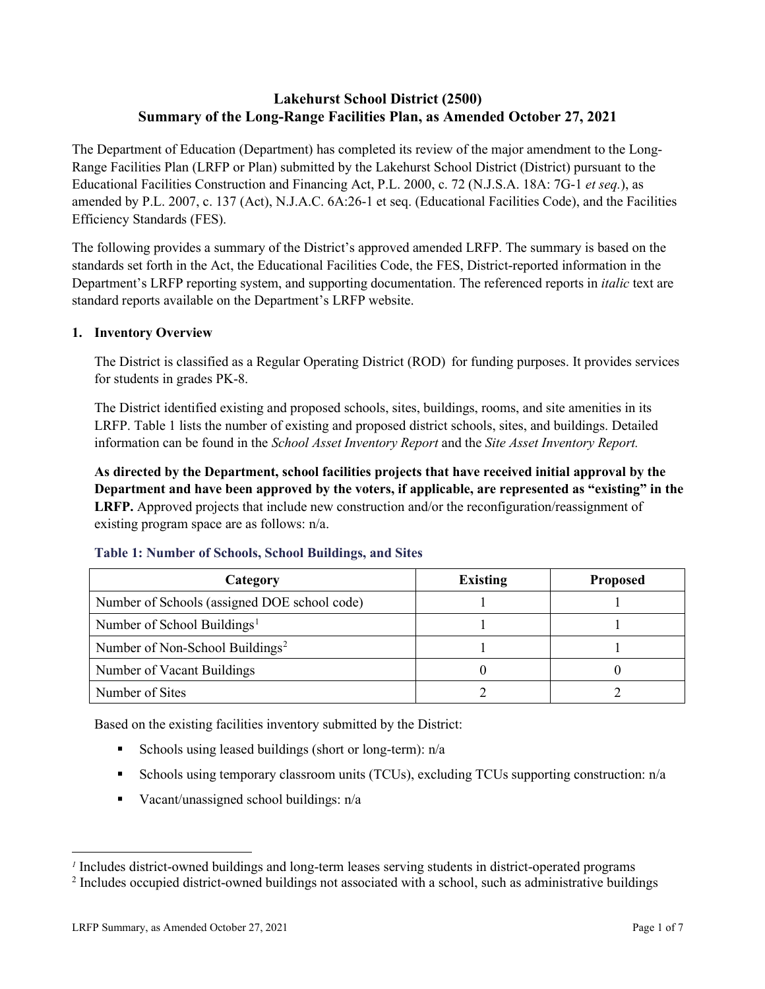## **Lakehurst School District (2500) Summary of the Long-Range Facilities Plan, as Amended October 27, 2021**

The Department of Education (Department) has completed its review of the major amendment to the Long-Range Facilities Plan (LRFP or Plan) submitted by the Lakehurst School District (District) pursuant to the Educational Facilities Construction and Financing Act, P.L. 2000, c. 72 (N.J.S.A. 18A: 7G-1 *et seq.*), as amended by P.L. 2007, c. 137 (Act), N.J.A.C. 6A:26-1 et seq. (Educational Facilities Code), and the Facilities Efficiency Standards (FES).

The following provides a summary of the District's approved amended LRFP. The summary is based on the standards set forth in the Act, the Educational Facilities Code, the FES, District-reported information in the Department's LRFP reporting system, and supporting documentation. The referenced reports in *italic* text are standard reports available on the Department's LRFP website.

## **1. Inventory Overview**

The District is classified as a Regular Operating District (ROD) for funding purposes. It provides services for students in grades PK-8.

The District identified existing and proposed schools, sites, buildings, rooms, and site amenities in its LRFP. Table 1 lists the number of existing and proposed district schools, sites, and buildings. Detailed information can be found in the *School Asset Inventory Report* and the *Site Asset Inventory Report.*

**As directed by the Department, school facilities projects that have received initial approval by the Department and have been approved by the voters, if applicable, are represented as "existing" in the LRFP.** Approved projects that include new construction and/or the reconfiguration/reassignment of existing program space are as follows: n/a.

| Category                                     | <b>Existing</b> | <b>Proposed</b> |
|----------------------------------------------|-----------------|-----------------|
| Number of Schools (assigned DOE school code) |                 |                 |
| Number of School Buildings <sup>1</sup>      |                 |                 |
| Number of Non-School Buildings <sup>2</sup>  |                 |                 |
| Number of Vacant Buildings                   |                 |                 |
| Number of Sites                              |                 |                 |

#### **Table 1: Number of Schools, School Buildings, and Sites**

Based on the existing facilities inventory submitted by the District:

- Schools using leased buildings (short or long-term):  $n/a$
- Schools using temporary classroom units (TCUs), excluding TCUs supporting construction: n/a
- Vacant/unassigned school buildings:  $n/a$

*<sup>1</sup>* Includes district-owned buildings and long-term leases serving students in district-operated programs

<sup>&</sup>lt;sup>2</sup> Includes occupied district-owned buildings not associated with a school, such as administrative buildings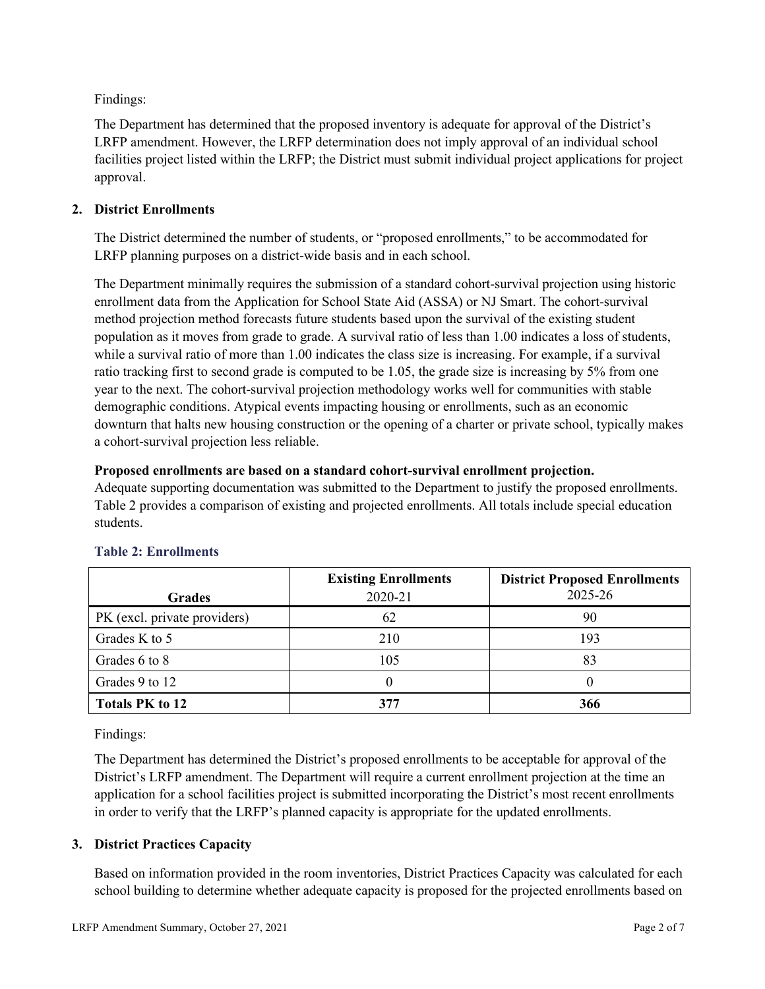Findings:

The Department has determined that the proposed inventory is adequate for approval of the District's LRFP amendment. However, the LRFP determination does not imply approval of an individual school facilities project listed within the LRFP; the District must submit individual project applications for project approval.

## **2. District Enrollments**

The District determined the number of students, or "proposed enrollments," to be accommodated for LRFP planning purposes on a district-wide basis and in each school.

The Department minimally requires the submission of a standard cohort-survival projection using historic enrollment data from the Application for School State Aid (ASSA) or NJ Smart. The cohort-survival method projection method forecasts future students based upon the survival of the existing student population as it moves from grade to grade. A survival ratio of less than 1.00 indicates a loss of students, while a survival ratio of more than 1.00 indicates the class size is increasing. For example, if a survival ratio tracking first to second grade is computed to be 1.05, the grade size is increasing by 5% from one year to the next. The cohort-survival projection methodology works well for communities with stable demographic conditions. Atypical events impacting housing or enrollments, such as an economic downturn that halts new housing construction or the opening of a charter or private school, typically makes a cohort-survival projection less reliable.

## **Proposed enrollments are based on a standard cohort-survival enrollment projection.**

Adequate supporting documentation was submitted to the Department to justify the proposed enrollments. Table 2 provides a comparison of existing and projected enrollments. All totals include special education students.

|                              | <b>Existing Enrollments</b> | <b>District Proposed Enrollments</b> |
|------------------------------|-----------------------------|--------------------------------------|
| <b>Grades</b>                | 2020-21                     | 2025-26                              |
| PK (excl. private providers) | 62                          | 90                                   |
| Grades K to 5                | 210                         | 193                                  |
| Grades 6 to 8                | 105                         | 83                                   |
| Grades 9 to 12               |                             |                                      |
| <b>Totals PK to 12</b>       | 377                         | 366                                  |

# **Table 2: Enrollments**

Findings:

The Department has determined the District's proposed enrollments to be acceptable for approval of the District's LRFP amendment. The Department will require a current enrollment projection at the time an application for a school facilities project is submitted incorporating the District's most recent enrollments in order to verify that the LRFP's planned capacity is appropriate for the updated enrollments.

## **3. District Practices Capacity**

Based on information provided in the room inventories, District Practices Capacity was calculated for each school building to determine whether adequate capacity is proposed for the projected enrollments based on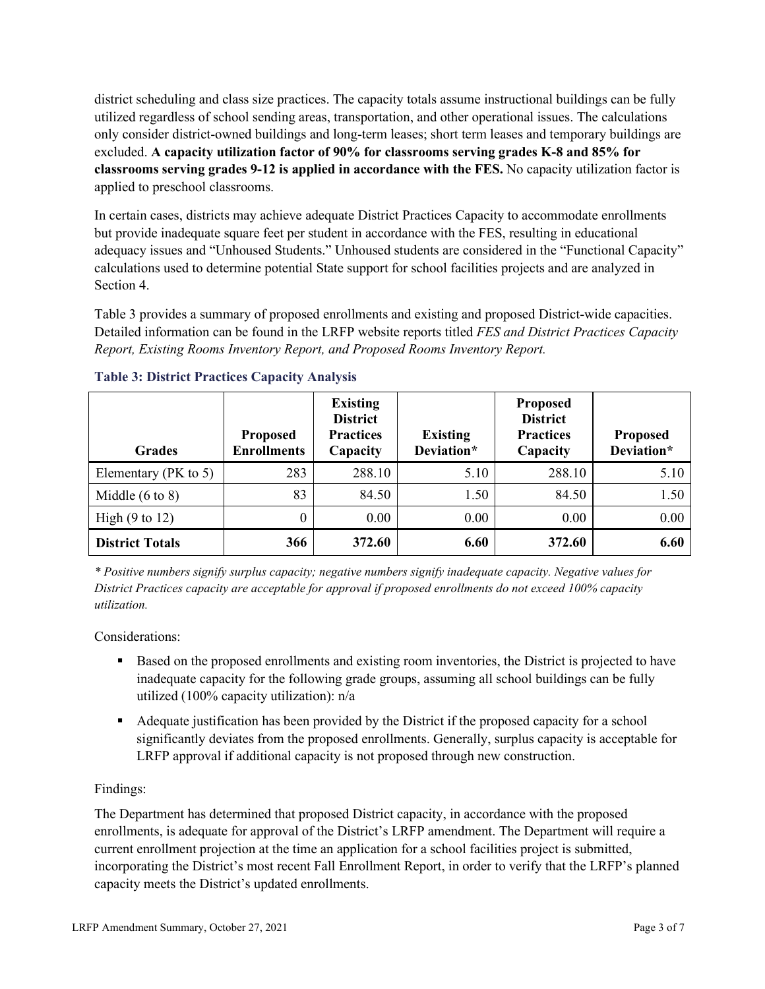district scheduling and class size practices. The capacity totals assume instructional buildings can be fully utilized regardless of school sending areas, transportation, and other operational issues. The calculations only consider district-owned buildings and long-term leases; short term leases and temporary buildings are excluded. **A capacity utilization factor of 90% for classrooms serving grades K-8 and 85% for classrooms serving grades 9-12 is applied in accordance with the FES.** No capacity utilization factor is applied to preschool classrooms.

In certain cases, districts may achieve adequate District Practices Capacity to accommodate enrollments but provide inadequate square feet per student in accordance with the FES, resulting in educational adequacy issues and "Unhoused Students." Unhoused students are considered in the "Functional Capacity" calculations used to determine potential State support for school facilities projects and are analyzed in Section 4.

Table 3 provides a summary of proposed enrollments and existing and proposed District-wide capacities. Detailed information can be found in the LRFP website reports titled *FES and District Practices Capacity Report, Existing Rooms Inventory Report, and Proposed Rooms Inventory Report.*

| <b>Grades</b>              | <b>Proposed</b><br><b>Enrollments</b> | <b>Existing</b><br><b>District</b><br><b>Practices</b><br>Capacity | <b>Existing</b><br>Deviation* | <b>Proposed</b><br><b>District</b><br><b>Practices</b><br>Capacity | <b>Proposed</b><br>Deviation* |
|----------------------------|---------------------------------------|--------------------------------------------------------------------|-------------------------------|--------------------------------------------------------------------|-------------------------------|
| Elementary ( $PK$ to 5)    | 283                                   | 288.10                                                             | 5.10                          | 288.10                                                             | 5.10                          |
| Middle $(6 \text{ to } 8)$ | 83                                    | 84.50                                                              | 1.50                          | 84.50                                                              | 1.50                          |
| High $(9 \text{ to } 12)$  | 0                                     | 0.00                                                               | 0.00                          | 0.00                                                               | 0.00                          |
| <b>District Totals</b>     | 366                                   | 372.60                                                             | 6.60                          | 372.60                                                             | 6.60                          |

## **Table 3: District Practices Capacity Analysis**

*\* Positive numbers signify surplus capacity; negative numbers signify inadequate capacity. Negative values for District Practices capacity are acceptable for approval if proposed enrollments do not exceed 100% capacity utilization.*

Considerations:

- Based on the proposed enrollments and existing room inventories, the District is projected to have inadequate capacity for the following grade groups, assuming all school buildings can be fully utilized (100% capacity utilization): n/a
- Adequate justification has been provided by the District if the proposed capacity for a school significantly deviates from the proposed enrollments. Generally, surplus capacity is acceptable for LRFP approval if additional capacity is not proposed through new construction.

## Findings:

The Department has determined that proposed District capacity, in accordance with the proposed enrollments, is adequate for approval of the District's LRFP amendment. The Department will require a current enrollment projection at the time an application for a school facilities project is submitted, incorporating the District's most recent Fall Enrollment Report, in order to verify that the LRFP's planned capacity meets the District's updated enrollments.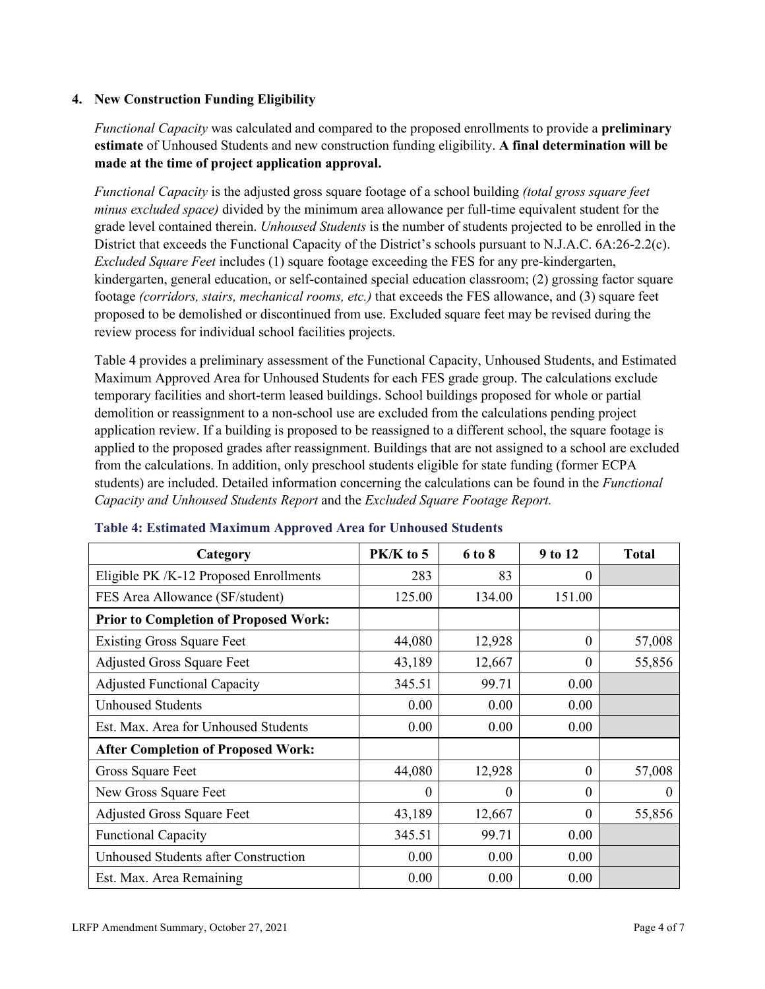#### **4. New Construction Funding Eligibility**

*Functional Capacity* was calculated and compared to the proposed enrollments to provide a **preliminary estimate** of Unhoused Students and new construction funding eligibility. **A final determination will be made at the time of project application approval.**

*Functional Capacity* is the adjusted gross square footage of a school building *(total gross square feet minus excluded space)* divided by the minimum area allowance per full-time equivalent student for the grade level contained therein. *Unhoused Students* is the number of students projected to be enrolled in the District that exceeds the Functional Capacity of the District's schools pursuant to N.J.A.C. 6A:26-2.2(c). *Excluded Square Feet* includes (1) square footage exceeding the FES for any pre-kindergarten, kindergarten, general education, or self-contained special education classroom; (2) grossing factor square footage *(corridors, stairs, mechanical rooms, etc.)* that exceeds the FES allowance, and (3) square feet proposed to be demolished or discontinued from use. Excluded square feet may be revised during the review process for individual school facilities projects.

Table 4 provides a preliminary assessment of the Functional Capacity, Unhoused Students, and Estimated Maximum Approved Area for Unhoused Students for each FES grade group. The calculations exclude temporary facilities and short-term leased buildings. School buildings proposed for whole or partial demolition or reassignment to a non-school use are excluded from the calculations pending project application review. If a building is proposed to be reassigned to a different school, the square footage is applied to the proposed grades after reassignment. Buildings that are not assigned to a school are excluded from the calculations. In addition, only preschool students eligible for state funding (former ECPA students) are included. Detailed information concerning the calculations can be found in the *Functional Capacity and Unhoused Students Report* and the *Excluded Square Footage Report.*

| Category                                     | $PK/K$ to 5 | 6 to 8   | 9 to 12  | <b>Total</b> |
|----------------------------------------------|-------------|----------|----------|--------------|
| Eligible PK /K-12 Proposed Enrollments       | 283         | 83       | 0        |              |
| FES Area Allowance (SF/student)              | 125.00      | 134.00   | 151.00   |              |
| <b>Prior to Completion of Proposed Work:</b> |             |          |          |              |
| <b>Existing Gross Square Feet</b>            | 44,080      | 12,928   | $\theta$ | 57,008       |
| <b>Adjusted Gross Square Feet</b>            | 43,189      | 12,667   | $\theta$ | 55,856       |
| <b>Adjusted Functional Capacity</b>          | 345.51      | 99.71    | 0.00     |              |
| <b>Unhoused Students</b>                     | 0.00        | 0.00     | 0.00     |              |
| Est. Max. Area for Unhoused Students         | 0.00        | 0.00     | 0.00     |              |
| <b>After Completion of Proposed Work:</b>    |             |          |          |              |
| Gross Square Feet                            | 44,080      | 12,928   | $\theta$ | 57,008       |
| New Gross Square Feet                        | $\theta$    | $\theta$ | $\theta$ | $\theta$     |
| <b>Adjusted Gross Square Feet</b>            | 43,189      | 12,667   | $\Omega$ | 55,856       |
| <b>Functional Capacity</b>                   | 345.51      | 99.71    | 0.00     |              |
| <b>Unhoused Students after Construction</b>  | 0.00        | 0.00     | 0.00     |              |
| Est. Max. Area Remaining                     | 0.00        | 0.00     | 0.00     |              |

#### **Table 4: Estimated Maximum Approved Area for Unhoused Students**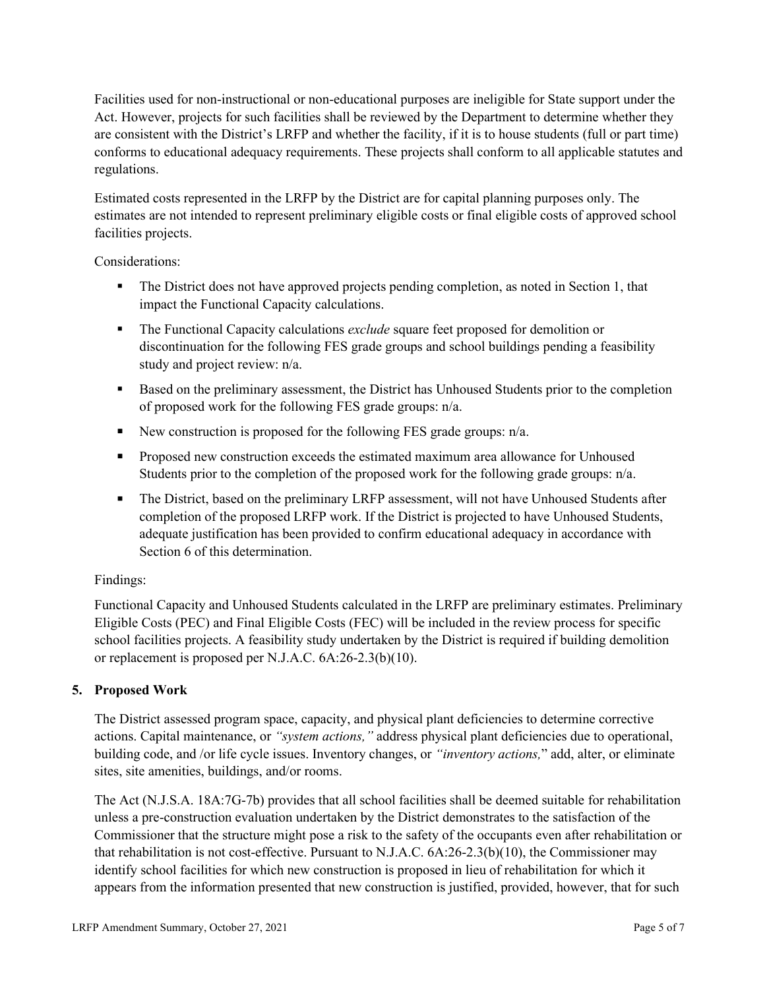Facilities used for non-instructional or non-educational purposes are ineligible for State support under the Act. However, projects for such facilities shall be reviewed by the Department to determine whether they are consistent with the District's LRFP and whether the facility, if it is to house students (full or part time) conforms to educational adequacy requirements. These projects shall conform to all applicable statutes and regulations.

Estimated costs represented in the LRFP by the District are for capital planning purposes only. The estimates are not intended to represent preliminary eligible costs or final eligible costs of approved school facilities projects.

Considerations:

- The District does not have approved projects pending completion, as noted in Section 1, that impact the Functional Capacity calculations.
- **The Functional Capacity calculations** *exclude* square feet proposed for demolition or discontinuation for the following FES grade groups and school buildings pending a feasibility study and project review: n/a.
- Based on the preliminary assessment, the District has Unhoused Students prior to the completion of proposed work for the following FES grade groups: n/a.
- New construction is proposed for the following FES grade groups: n/a.
- Proposed new construction exceeds the estimated maximum area allowance for Unhoused Students prior to the completion of the proposed work for the following grade groups: n/a.
- The District, based on the preliminary LRFP assessment, will not have Unhoused Students after completion of the proposed LRFP work. If the District is projected to have Unhoused Students, adequate justification has been provided to confirm educational adequacy in accordance with Section 6 of this determination.

## Findings:

Functional Capacity and Unhoused Students calculated in the LRFP are preliminary estimates. Preliminary Eligible Costs (PEC) and Final Eligible Costs (FEC) will be included in the review process for specific school facilities projects. A feasibility study undertaken by the District is required if building demolition or replacement is proposed per N.J.A.C. 6A:26-2.3(b)(10).

# **5. Proposed Work**

The District assessed program space, capacity, and physical plant deficiencies to determine corrective actions. Capital maintenance, or *"system actions,"* address physical plant deficiencies due to operational, building code, and /or life cycle issues. Inventory changes, or *"inventory actions,*" add, alter, or eliminate sites, site amenities, buildings, and/or rooms.

The Act (N.J.S.A. 18A:7G-7b) provides that all school facilities shall be deemed suitable for rehabilitation unless a pre-construction evaluation undertaken by the District demonstrates to the satisfaction of the Commissioner that the structure might pose a risk to the safety of the occupants even after rehabilitation or that rehabilitation is not cost-effective. Pursuant to N.J.A.C. 6A:26-2.3(b)(10), the Commissioner may identify school facilities for which new construction is proposed in lieu of rehabilitation for which it appears from the information presented that new construction is justified, provided, however, that for such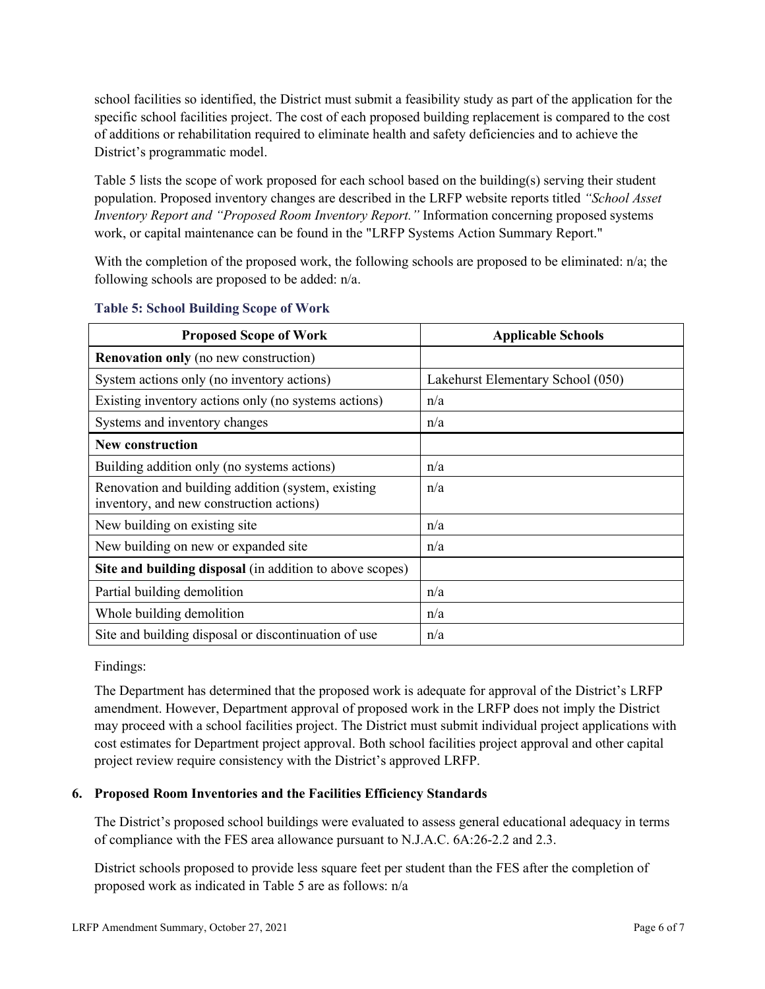school facilities so identified, the District must submit a feasibility study as part of the application for the specific school facilities project. The cost of each proposed building replacement is compared to the cost of additions or rehabilitation required to eliminate health and safety deficiencies and to achieve the District's programmatic model.

Table 5 lists the scope of work proposed for each school based on the building(s) serving their student population. Proposed inventory changes are described in the LRFP website reports titled *"School Asset Inventory Report and "Proposed Room Inventory Report."* Information concerning proposed systems work, or capital maintenance can be found in the "LRFP Systems Action Summary Report."

With the completion of the proposed work, the following schools are proposed to be eliminated: n/a; the following schools are proposed to be added: n/a.

| <b>Proposed Scope of Work</b>                                                                  | <b>Applicable Schools</b>         |
|------------------------------------------------------------------------------------------------|-----------------------------------|
| <b>Renovation only</b> (no new construction)                                                   |                                   |
| System actions only (no inventory actions)                                                     | Lakehurst Elementary School (050) |
| Existing inventory actions only (no systems actions)                                           | n/a                               |
| Systems and inventory changes                                                                  | n/a                               |
| <b>New construction</b>                                                                        |                                   |
| Building addition only (no systems actions)                                                    | n/a                               |
| Renovation and building addition (system, existing<br>inventory, and new construction actions) | n/a                               |
| New building on existing site                                                                  | n/a                               |
| New building on new or expanded site                                                           | n/a                               |
| Site and building disposal (in addition to above scopes)                                       |                                   |
| Partial building demolition                                                                    | n/a                               |
| Whole building demolition                                                                      | n/a                               |
| Site and building disposal or discontinuation of use                                           | n/a                               |

#### **Table 5: School Building Scope of Work**

Findings:

The Department has determined that the proposed work is adequate for approval of the District's LRFP amendment. However, Department approval of proposed work in the LRFP does not imply the District may proceed with a school facilities project. The District must submit individual project applications with cost estimates for Department project approval. Both school facilities project approval and other capital project review require consistency with the District's approved LRFP.

## **6. Proposed Room Inventories and the Facilities Efficiency Standards**

The District's proposed school buildings were evaluated to assess general educational adequacy in terms of compliance with the FES area allowance pursuant to N.J.A.C. 6A:26-2.2 and 2.3.

District schools proposed to provide less square feet per student than the FES after the completion of proposed work as indicated in Table 5 are as follows: n/a